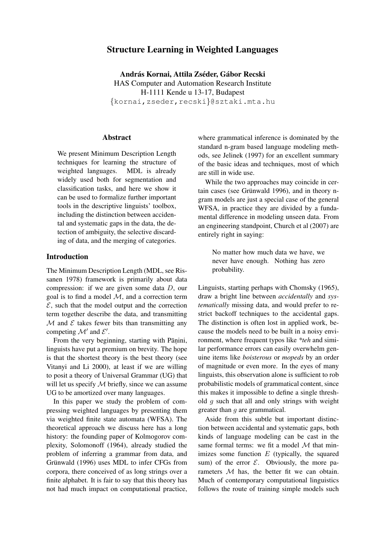# Structure Learning in Weighted Languages

András Kornai, Attila Zséder, Gábor Recski HAS Computer and Automation Research Institute H-1111 Kende u 13-17, Budapest {kornai,zseder,recski}@sztaki.mta.hu

## Abstract

We present Minimum Description Length techniques for learning the structure of weighted languages. MDL is already widely used both for segmentation and classification tasks, and here we show it can be used to formalize further important tools in the descriptive linguists' toolbox, including the distinction between accidental and systematic gaps in the data, the detection of ambiguity, the selective discarding of data, and the merging of categories.

## Introduction

The Minimum Description Length (MDL, see Rissanen 1978) framework is primarily about data compression: if we are given some data D, our goal is to find a model  $M$ , and a correction term  $\mathcal{E}$ , such that the model output and the correction term together describe the data, and transmitting  $M$  and  $E$  takes fewer bits than transmitting any competing  $\mathcal{M}'$  and  $\mathcal{E}'$ .

From the very beginning, starting with Pāṇini, linguists have put a premium on brevity. The hope is that the shortest theory is the best theory (see Vitanyi and Li 2000), at least if we are willing to posit a theory of Universal Grammar (UG) that will let us specify  $M$  briefly, since we can assume UG to be amortized over many languages.

In this paper we study the problem of compressing weighted languages by presenting them via weighted finite state automata (WFSA). The theoretical approach we discuss here has a long history: the founding paper of Kolmogorov complexity, Solomonoff (1964), already studied the problem of inferring a grammar from data, and Grünwald (1996) uses MDL to infer CFGs from corpora, there conceived of as long strings over a finite alphabet. It is fair to say that this theory has not had much impact on computational practice,

where grammatical inference is dominated by the standard n-gram based language modeling methods, see Jelinek (1997) for an excellent summary of the basic ideas and techniques, most of which are still in wide use.

While the two approaches may coincide in certain cases (see Grünwald 1996), and in theory ngram models are just a special case of the general WFSA, in practice they are divided by a fundamental difference in modeling unseen data. From an engineering standpoint, Church et al (2007) are entirely right in saying:

No matter how much data we have, we never have enough. Nothing has zero probability.

Linguists, starting perhaps with Chomsky (1965), draw a bright line between *accidentally* and *systematically* missing data, and would prefer to restrict backoff techniques to the accidental gaps. The distinction is often lost in applied work, because the models need to be built in a noisy environment, where frequent typos like *\*teh* and similar performance errors can easily overwhelm genuine items like *boisterous* or *mopeds* by an order of magnitude or even more. In the eyes of many linguists, this observation alone is sufficient to rob probabilistic models of grammatical content, since this makes it impossible to define a single threshold  $q$  such that all and only strings with weight greater than g are grammatical.

Aside from this subtle but important distinction between accidental and systematic gaps, both kinds of language modeling can be cast in the same formal terms: we fit a model  $M$  that minimizes some function  $E$  (typically, the squared sum) of the error  $\mathcal{E}$ . Obviously, the more parameters M has, the better fit we can obtain. Much of contemporary computational linguistics follows the route of training simple models such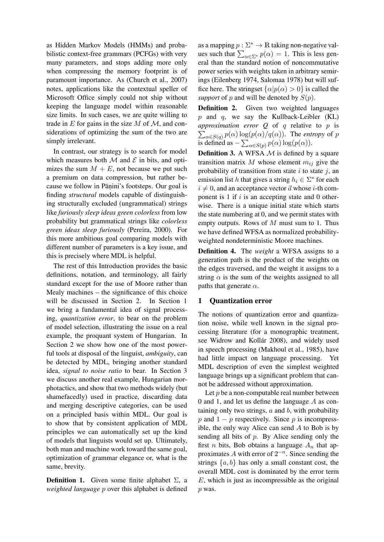as Hidden Markov Models (HMMs) and probabilistic context-free grammars (PCFGs) with very many parameters, and stops adding more only when compressing the memory footprint is of paramount importance. As (Church et al., 2007) notes, applications like the contextual speller of Microsoft Office simply could not ship without keeping the language model within reasonable size limits. In such cases, we are quite willing to trade in  $E$  for gains in the size  $M$  of  $M$ , and considerations of optimizing the sum of the two are simply irrelevant.

In contrast, our strategy is to search for model which measures both  $\mathcal M$  and  $\mathcal E$  in bits, and optimizes the sum  $M + E$ , not because we put such a premium on data compression, but rather because we follow in Pāṇini's footsteps. Our goal is finding *structural* models capable of distinguishing structurally excluded (ungrammatical) strings like *furiously sleep ideas green colorless* from low probability but grammatical strings like *colorless green ideas sleep furiously* (Pereira, 2000). For this more ambitious goal comparing models with different number of parameters is a key issue, and this is precisely where MDL is helpful.

The rest of this Introduction provides the basic definitions, notation, and terminology, all fairly standard except for the use of Moore rather than Mealy machines – the significance of this choice will be discussed in Section 2. In Section 1 we bring a fundamental idea of signal processing, *quantization error*, to bear on the problem of model selection, illustrating the issue on a real example, the proquant system of Hungarian. In Section 2 we show how one of the most powerful tools at disposal of the linguist, *ambiguity*, can be detected by MDL, bringing another standard idea, *signal to noise ratio* to bear. In Section 3 we discuss another real example, Hungarian morphotactics, and show that two methods widely (but shamefacedly) used in practice, discarding data and merging descriptive categories, can be used on a principled basis within MDL. Our goal is to show that by consistent application of MDL principles we can automatically set up the kind of models that linguists would set up. Ultimately, both man and machine work toward the same goal, optimization of grammar elegance or, what is the same, brevity.

**Definition 1.** Given some finite alphabet  $\Sigma$ , a *weighted language* p over this alphabet is defined

as a mapping  $p : \Sigma^* \to \mathbb{R}$  taking non-negative values such that  $\sum_{\alpha \in \Sigma^*} p(\alpha) = 1$ . This is less general than the standard notion of noncommutative power series with weights taken in arbitrary semirings (Eilenberg 1974, Salomaa 1978) but will suffice here. The stringset  $\{\alpha | p(\alpha) > 0\}$  is called the *support* of p and will be denoted by  $S(p)$ .

Definition 2. Given two weighted languages  $p$  and  $q$ , we say the Kullback-Leibler (KL) *approximation error Q* of q relative to p is  $\sum_{\alpha \in S(q)} p(\alpha) \log(p(\alpha)/q(\alpha))$ . The *entropy* of p is defined as  $-\sum_{\alpha \in S(p)} p(\alpha) \log(p(\alpha)).$ 

**Definition 3.** A WFSA  $M$  is defined by a square transition matrix M whose element  $m_{ij}$  give the probability of transition from state  $i$  to state  $j$ , an emission list h that gives a string  $h_i \in \Sigma^*$  for each  $i \neq 0$ , and an acceptance vector  $\vec{a}$  whose *i*-th component is 1 if  $i$  is an accepting state and 0 otherwise. There is a unique initial state which starts the state numbering at 0, and we permit states with empty outputs. Rows of  $M$  must sum to 1. Thus we have defined WFSA as normalized probabilityweighted nondeterministic Moore machines.

Definition 4. The *weight* a WFSA assigns to a generation path is the product of the weights on the edges traversed, and the weight it assigns to a string  $\alpha$  is the sum of the weights assigned to all paths that generate  $\alpha$ .

### 1 Quantization error

The notions of quantization error and quantization noise, while well known in the signal processing literature (for a monographic treatment, see Widrow and Kollár 2008), and widely used in speech processing (Makhoul et al., 1985), have had little impact on language processing. Yet MDL description of even the simplest weighted language brings up a significant problem that cannot be addressed without approximation.

Let  $p$  be a non-computable real number between 0 and 1, and let us define the language A as containing only two strings,  $a$  and  $b$ , with probability p and  $1 - p$  respectively. Since p is incompressible, the only way Alice can send  $A$  to Bob is by sending all bits of  $p$ . By Alice sending only the first *n* bits, Bob obtains a language  $A_n$  that approximates A with error of  $2^{-n}$ . Since sending the strings  $\{a, b\}$  has only a small constant cost, the overall MDL cost is dominated by the error term  $E$ , which is just as incompressible as the original p was.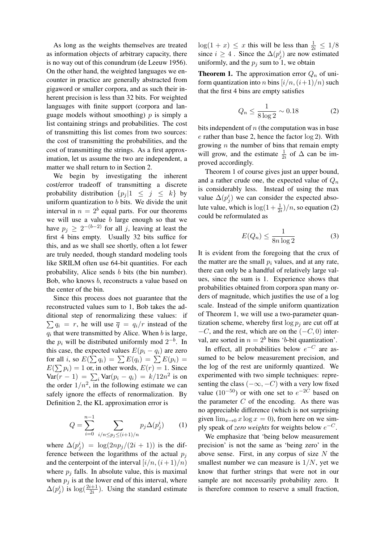As long as the weights themselves are treated as information objects of arbitrary capacity, there is no way out of this conundrum (de Leeuw 1956). On the other hand, the weighted languages we encounter in practice are generally abstracted from gigaword or smaller corpora, and as such their inherent precision is less than 32 bits. For weighted languages with finite support (corpora and language models without smoothing)  $p$  is simply a list containing strings and probabilities. The cost of transmitting this list comes from two sources: the cost of transmitting the probabilities, and the cost of transmitting the strings. As a first approximation, let us assume the two are independent, a matter we shall return to in Section 2.

We begin by investigating the inherent cost/error tradeoff of transmitting a discrete probability distribution  $\{p_i | 1 \leq j \leq k\}$  by uniform quantization to  $b$  bits. We divide the unit interval in  $n = 2<sup>b</sup>$  equal parts. For our theorems we will use a value  $b$  large enough so that we have  $p_j \geq 2^{-(b-2)}$  for all j, leaving at least the first 4 bins empty. Usually 32 bits suffice for this, and as we shall see shortly, often a lot fewer are truly needed, though standard modeling tools like SRILM often use 64-bit quantities. For each probability, Alice sends b bits (the bin number). Bob, who knows b, reconstructs a value based on the center of the bin.

Since this process does not guarantee that the reconstructed values sum to 1, Bob takes the additional step of renormalizing these values: if  $\sum q_i = r$ , he will use  $\overline{q} = q_i/r$  instead of the  $q_i$  that were transmitted by Alice. When  $b$  is large, the  $p_i$  will be distributed uniformly mod  $2^{-b}$ . In this case, the expected values  $E(p_i - q_i)$  are zero for all *i*, so  $E(\sum q_i) = \sum E(q_i) = \sum E(p_i) =$  $E(\sum p_i) = 1$  or, in other words,  $E(r) = 1$ . Since  $\text{Var}(r-1) = \sum_i \text{Var}(p_i - q_i) = k/12n^2$  is on the order  $1/n^2$ , in the following estimate we can safely ignore the effects of renormalization. By Definition 2, the KL approximation error is

$$
Q = \sum_{i=0}^{n-1} \sum_{i/n \le p_j \le (i+1)/n} p_j \Delta(p_j^i)
$$
 (1)

where  $\Delta(p_j^i) = \log(2np_j/(2i+1))$  is the difference between the logarithms of the actual  $p_i$ and the centerpoint of the interval  $[i/n,(i+1)/n]$ where  $p_i$  falls. In absolute value, this is maximal when  $p_j$  is at the lower end of this interval, where  $\Delta(p_j^i)$  is  $\log(\frac{2i+1}{2i})$ . Using the standard estimate

 $log(1 + x) \leq x$  this will be less than  $\frac{1}{2i} \leq 1/8$ since  $i \geq 4$ . Since the  $\Delta(p_j^i)$  are now estimated uniformly, and the  $p_j$  sum to 1, we obtain

**Theorem 1.** The approximation error  $Q_n$  of uniform quantization into *n* bins  $[i/n,(i+1)/n]$  such that the first 4 bins are empty satisfies

$$
Q_n \le \frac{1}{8\log 2} \sim 0.18\tag{2}
$$

bits independent of  $n$  (the computation was in base e rather than base 2, hence the factor log 2). With growing  $n$  the number of bins that remain empty will grow, and the estimate  $\frac{1}{2i}$  of  $\Delta$  can be improved accordingly.

Theorem 1 of course gives just an upper bound, and a rather crude one, the expected value of  $Q_n$ is considerably less. Instead of using the max value  $\Delta(p_j^i)$  we can consider the expected absolute value, which is  $\log(1+\frac{1}{2i})/n$ , so equation (2) could be reformulated as

$$
E(Q_n) \le \frac{1}{8n \log 2} \tag{3}
$$

It is evident from the foregoing that the crux of the matter are the small  $p_i$  values, and at any rate, there can only be a handful of relatively large values, since the sum is 1. Experience shows that probabilities obtained from corpora span many orders of magnitude, which justifies the use of a log scale. Instead of the simple uniform quantization of Theorem 1, we will use a two-parameter quantization scheme, whereby first  $\log p_i$  are cut off at  $-C$ , and the rest, which are on the  $(-C, 0)$  interval, are sorted in  $n = 2<sup>b</sup>$  bins 'b-bit quantization'.

In effect, all probabilities below  $e^{-C}$  are assumed to be below measurement precision, and the log of the rest are uniformly quantized. We experimented with two simple techniques: representing the class  $(-\infty, -C)$  with a very low fixed value  $(10^{-50})$  or with one set to  $e^{-2C}$  based on the parameter  $C$  of the encoding. As there was no appreciable difference (which is not surprising given  $\lim_{x\to 0} x \log x = 0$ , from here on we simply speak of *zero weights* for weights below  $e^{-C}$ .

We emphasize that 'being below measurement precision' is not the same as 'being zero' in the above sense. First, in any corpus of size  $N$  the smallest number we can measure is  $1/N$ , yet we know that further strings that were not in our sample are not necessarily probability zero. It is therefore common to reserve a small fraction,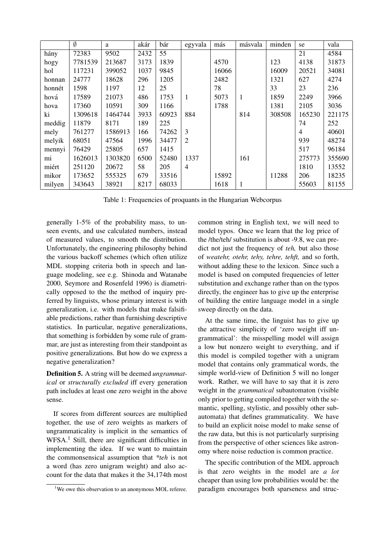|        | $\overline{\emptyset}$ | a       | akár | bár   | egyvala        | más   | másvala      | minden | se     | vala   |
|--------|------------------------|---------|------|-------|----------------|-------|--------------|--------|--------|--------|
| hány   | 72383                  | 9502    | 2432 | 55    |                |       |              |        | 21     | 4584   |
| hogy   | 7781539                | 213687  | 3173 | 1839  |                | 4570  |              | 123    | 4138   | 31873  |
| hol    | 117231                 | 399052  | 1037 | 9845  |                | 16066 |              | 16009  | 20521  | 34081  |
| honnan | 24777                  | 18628   | 296  | 1205  |                | 2482  |              | 1321   | 627    | 4274   |
| honnét | 1598                   | 1197    | 12   | 25    |                | 78    |              | 33     | 23     | 236    |
| hová   | 17589                  | 21073   | 486  | 1753  | 1              | 5073  | $\mathbf{1}$ | 1859   | 2249   | 3966   |
| hova   | 17360                  | 10591   | 309  | 1166  |                | 1788  |              | 1381   | 2105   | 3036   |
| ki     | 1309618                | 1464744 | 3933 | 60923 | 884            |       | 814          | 308508 | 165230 | 221175 |
| meddig | 11879                  | 8171    | 189  | 225   |                |       |              |        | 74     | 252    |
| mely   | 761277                 | 1586913 | 166  | 74262 | 3              |       |              |        | 4      | 40601  |
| melyik | 68051                  | 47564   | 1996 | 34477 | $\overline{2}$ |       |              |        | 939    | 48274  |
| mennyi | 76429                  | 25805   | 657  | 1415  |                |       |              |        | 517    | 96184  |
| mi     | 1626013                | 1303820 | 6500 | 52480 | 1337           |       | 161          |        | 275773 | 355690 |
| miért  | 251120                 | 20672   | 58   | 205   | $\overline{4}$ |       |              |        | 1810   | 13552  |
| mikor  | 173652                 | 555325  | 679  | 33516 |                | 15892 |              | 11288  | 206    | 18235  |
| milyen | 343643                 | 38921   | 8217 | 68033 |                | 1618  | 1            |        | 55603  | 81155  |

Table 1: Frequencies of proquants in the Hungarian Webcorpus

generally 1-5% of the probability mass, to unseen events, and use calculated numbers, instead of measured values, to smooth the distribution. Unfortunately, the engineering philosophy behind the various backoff schemes (which often utilize MDL stopping criteria both in speech and language modeling, see e.g. Shinoda and Watanabe 2000, Seymore and Rosenfeld 1996) is diametrically opposed to the the method of inquiry preferred by linguists, whose primary interest is with generalization, i.e. with models that make falsifiable predictions, rather than furnishing descriptive statistics. In particular, negative generalizations, that something is forbidden by some rule of grammar, are just as interesting from their standpoint as positive generalizations. But how do we express a negative generalization?

Definition 5. A string will be deemed *ungrammatical* or *structurally excluded* iff every generation path includes at least one zero weight in the above sense.

If scores from different sources are multiplied together, the use of zero weights as markers of ungrammaticality is implicit in the semantics of WFSA.<sup>1</sup> Still, there are significant difficulties in implementing the idea. If we want to maintain the commonsensical assumption that *\*teh* is not a word (has zero unigram weight) and also account for the data that makes it the 34,174th most common string in English text, we will need to model typos. Once we learn that the log price of the /the/teh/ substitution is about -9.8, we can predict not just the frequency of *teh,* but also those of *weatehr, otehr, tehy, tehre, tehft,* and so forth, without adding these to the lexicon. Since such a model is based on computed frequencies of letter substitution and exchange rather than on the typos directly, the engineer has to give up the enterprise of building the entire language model in a single sweep directly on the data.

At the same time, the linguist has to give up the attractive simplicity of 'zero weight iff ungrammatical': the misspelling model will assign a low but nonzero weight to everything, and if this model is compiled together with a unigram model that contains only grammatical words, the simple world-view of Definition 5 will no longer work. Rather, we will have to say that it is zero weight in the *grammatical* subautomaton (visible only prior to getting compiled together with the semantic, spelling, stylistic, and possibly other subautomata) that defines grammaticality. We have to build an explicit noise model to make sense of the raw data, but this is not particularly surprising from the perspective of other sciences like astronomy where noise reduction is common practice.

The specific contribution of the MDL approach is that zero weights in the model are *a lot* cheaper than using low probabilities would be: the paradigm encourages both sparseness and struc-

<sup>&</sup>lt;sup>1</sup>We owe this observation to an anonymous MOL referee.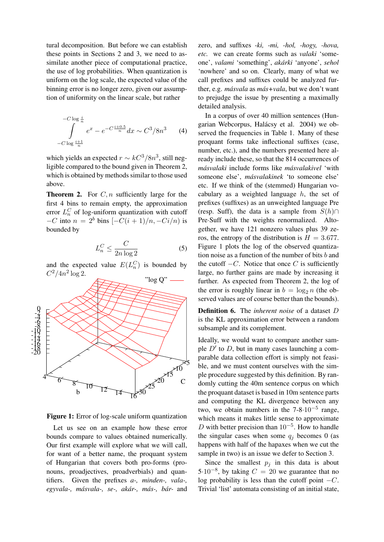tural decomposition. But before we can establish these points in Sections 2 and 3, we need to assimilate another piece of computational practice, the use of log probabilities. When quantization is uniform on the log scale, the expected value of the binning error is no longer zero, given our assumption of uniformity on the linear scale, but rather

$$
-C \log \frac{i}{n}
$$
  

$$
\int_{-C \log \frac{i+1}{n}}^{C \log n} e^x - e^{-C \frac{i+0.5}{n}} dx \sim C^3 / 8n^3
$$
 (4)

which yields an expected  $r \sim kC^3/8n^3$ , still negligible compared to the bound given in Theorem 2, which is obtained by methods similar to those used above.

**Theorem 2.** For  $C, n$  sufficiently large for the first 4 bins to remain empty, the approximation error  $L_n^C$  of log-uniform quantization with cutoff  $-C$  into  $n = 2^b$  bins  $\left[-\frac{C(i+1)}{n}, -\frac{C(i)}{n}\right]$  is bounded by

$$
L_n^C \le \frac{C}{2n\log 2} \tag{5}
$$

and the expected value  $E(L_n^C)$  is bounded by  $C^2/4n^2 \log 2$ .



Figure 1: Error of log-scale uniform quantization

Let us see on an example how these error bounds compare to values obtained numerically. Our first example will explore what we will call, for want of a better name, the proquant system of Hungarian that covers both pro-forms (pronouns, proadjectives, proadverbials) and quantifiers. Given the prefixes *a-, minden-, vala-, egyvala-, masvala-, se-, ak ´ ar-, m ´ as-, b ´ ar- ´* and

zero, and suffixes *-ki, -mi, -hol, -hogy, -hova, etc.* we can create forms such as *valaki* 'someone', *valami* 'something', *akarki ´* 'anyone', *sehol* 'nowhere' and so on. Clearly, many of what we call prefixes and suffixes could be analyzed further, e.g. *másvala* as *más*+vala, but we don't want to prejudge the issue by presenting a maximally detailed analysis.

In a corpus of over 40 million sentences (Hungarian Webcorpus, Halácsy et al. 2004) we observed the frequencies in Table 1. Many of these proquant forms take inflectional suffixes (case, number, etc.), and the numbers presented here already include these, so that the 814 occurrences of *masvalaki ´* include forms like *masvalakivel ´* 'with someone else', *masvalakinek ´* 'to someone else' etc. If we think of the (stemmed) Hungarian vocabulary as a weighted language  $h$ , the set of prefixes (suffixes) as an unweighted language Pre (resp. Suff), the data is a sample from  $S(h)$ ∩ Pre·Suff with the weights renormalized. Altogether, we have 121 nonzero values plus 39 zeros, the entropy of the distribution is  $H = 3.677$ . Figure 1 plots the log of the observed quantization noise as a function of the number of bits b and the cutoff  $-C$ . Notice that once C is sufficiently large, no further gains are made by increasing it further. As expected from Theorem 2, the log of the error is roughly linear in  $b = \log_2 n$  (the observed values are of course better than the bounds).

Definition 6. The *inherent noise* of a dataset D is the KL approximation error between a random subsample and its complement.

Ideally, we would want to compare another sample  $D'$  to  $D$ , but in many cases launching a comparable data collection effort is simply not feasible, and we must content ourselves with the simple procedure suggested by this definition. By randomly cutting the 40m sentence corpus on which the proquant dataset is based in 10m sentence parts and computing the KL divergence between any two, we obtain numbers in the  $7-8.10^{-5}$  range, which means it makes little sense to approximate D with better precision than  $10^{-5}$ . How to handle the singular cases when some  $q_i$  becomes 0 (as happens with half of the hapaxes when we cut the sample in two) is an issue we defer to Section 3.

Since the smallest  $p_i$  in this data is about 5·10<sup>-8</sup>, by taking  $C = 20$  we guarantee that no log probability is less than the cutoff point  $-C$ . Trivial 'list' automata consisting of an initial state,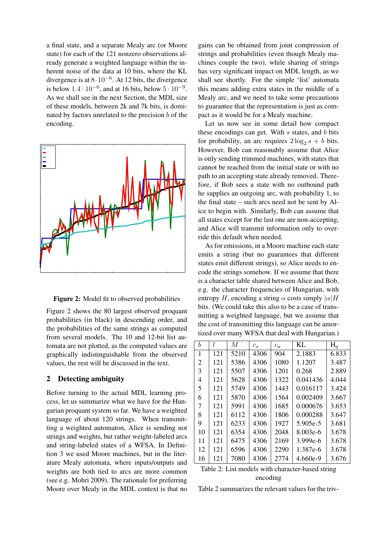a final state, and a separate Mealy arc (or Moore state) for each of the 121 nonzero observations already generate a weighted language within the inherent noise of the data at 10 bits, where the KL divergence is at  $8 \cdot 10^{-6}$ . At 12 bits, the divergence is below  $1.4 \cdot 10^{-6}$ , and at 16 bits, below  $5 \cdot 10^{-9}$ . As we shall see in the next Section, the MDL size of these models, between 2k and 7k bits, is dominated by factors unrelated to the precision b of the encoding.



Figure 2: Model fit to observed probabilities

Figure 2 shows the 80 largest observed proquant probabilities (in black) in descending order, and the probabilities of the same strings as computed from several models. The 10 and 12-bit list automata are not plotted, as the computed values are graphically indistinguishable from the observed values, the rest will be discussed in the text.

# 2 Detecting ambiguity

Before turning to the actual MDL learning process, let us summarize what we have for the Hungarian proquant system so far. We have a weighted language of about 120 strings. When transmitting a weighted automaton, Alice is sending not strings and weights, but rather weight-labeled arcs and string-labeled states of a WFSA. In Definition 3 we used Moore machines, but in the literature Mealy automata, where inputs/outputs and weights are both tied to arcs are more common (see e.g. Mohri 2009). The rationale for preferring Moore over Mealy in the MDL context is that no

gains can be obtained from joint compression of strings and probabilities (even though Mealy machines couple the two), while sharing of strings has very significant impact on MDL length, as we shall see shortly. For the simple 'list' automata this means adding extra states in the middle of a Mealy arc, and we need to take some precautions to guarantee that the representation is just as compact as it would be for a Mealy machine.

Let us now see in some detail how compact these encodings can get. With  $s$  states, and  $b$  bits for probability, an arc requires  $2\log_2 s + b$  bits. However, Bob can reasonably assume that Alice is only sending trimmed machines, with states that cannot be reached from the initial state or with no path to an accepting state already removed. Therefore, if Bob sees a state with no outbound path he supplies an outgoing arc, with probability 1, to the final state – such arcs need not be sent by Alice to begin with. Similarly, Bob can assume that all states except for the last one are non-accepting, and Alice will transmit information only to override this default when needed.

As for emissions, in a Moore machine each state emits a string (but no guarantees that different states emit different strings), so Alice needs to encode the strings somehow. If we assume that there is a character table shared between Alice and Bob, e.g. the character frequencies of Hungarian, with entropy H, encoding a string  $\alpha$  costs simply  $|\alpha|H$ bits. (We could take this also to be a case of transmitting a weighted language, but we assume that the cost of transmitting this language can be amortized over many WFSA that deal with Hungarian.)

| h              | l   | M    | $c_s$ | $c_a$ | KL         | $H_q$ |
|----------------|-----|------|-------|-------|------------|-------|
| 1              | 121 | 5210 | 4306  | 904   | 2.1883     | 6.833 |
| $\overline{2}$ | 121 | 5386 | 4306  | 1080  | 1.1207     | 3.487 |
| 3              | 121 | 5507 | 4306  | 1201  | 0.268      | 2.889 |
| 4              | 121 | 5628 | 4306  | 1322  | 0.041436   | 4.044 |
| 5              | 121 | 5749 | 4306  | 1443  | 0.016117   | 3.424 |
| 6              | 121 | 5870 | 4306  | 1564  | 0.002409   | 3.667 |
| 7              | 121 | 5991 | 4306  | 1685  | 0.000676   | 3.653 |
| 8              | 121 | 6112 | 4306  | 1806  | 0.000288   | 3.647 |
| 9              | 121 | 6233 | 4306  | 1927  | 5.905e-5   | 3.681 |
| 10             | 121 | 6354 | 4306  | 2048  | 8.003e-6   | 3.678 |
| 11             | 121 | 6475 | 4306  | 2169  | 3.999e-6   | 3.678 |
| 12             | 121 | 6596 | 4306  | 2290  | 1.387e-6   | 3.678 |
| 16             | 121 | 7080 | 4306  | 2774  | $4.660e-9$ | 3.676 |

| Table 2: List models with character-based string |  |
|--------------------------------------------------|--|
| encoding                                         |  |

Table 2 summarizes the relevant values for the triv-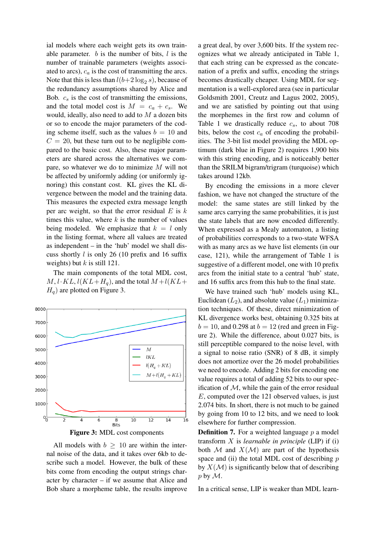ial models where each weight gets its own trainable parameter.  $b$  is the number of bits,  $l$  is the number of trainable parameters (weights associated to arcs),  $c_a$  is the cost of transmitting the arcs. Note that this is less than  $l(b+2\log_2 s)$ , because of the redundancy assumptions shared by Alice and Bob.  $c_s$  is the cost of transmitting the emissions, and the total model cost is  $M = c_a + c_s$ . We would, ideally, also need to add to  $M$  a dozen bits or so to encode the major parameters of the coding scheme itself, such as the values  $b = 10$  and  $C = 20$ , but these turn out to be negligible compared to the basic cost. Also, these major parameters are shared across the alternatives we compare, so whatever we do to minimize M will not be affected by uniformly adding (or uniformly ignoring) this constant cost. KL gives the KL divergence between the model and the training data. This measures the expected extra message length per arc weight, so that the error residual  $E$  is  $k$ times this value, where  $k$  is the number of values being modeled. We emphasize that  $k = l$  only in the listing format, where all values are treated as independent – in the 'hub' model we shall discuss shortly  $l$  is only 26 (10 prefix and 16 suffix weights) but  $k$  is still 121.

The main components of the total MDL cost,  $M, l \cdot KL, l(KL+H_q)$ , and the total  $M+l(KL+H_q)$  $H_q$ ) are plotted on Figure 3.



All models with  $b \geq 10$  are within the internal noise of the data, and it takes over 6kb to describe such a model. However, the bulk of these bits come from encoding the output strings character by character – if we assume that Alice and Bob share a morpheme table, the results improve

a great deal, by over 3,600 bits. If the system recognizes what we already anticipated in Table 1, that each string can be expressed as the concatenation of a prefix and suffix, encoding the strings becomes drastically cheaper. Using MDL for segmentation is a well-explored area (see in particular Goldsmith 2001, Creutz and Lagus 2002, 2005), and we are satisfied by pointing out that using the morphemes in the first row and column of Table 1 we drastically reduce  $c_s$ , to about 708 bits, below the cost  $c_a$  of encoding the probabilities. The 3-bit list model providing the MDL optimum (dark blue in Figure 2) requires 1,900 bits with this string encoding, and is noticeably better than the SRILM bigram/trigram (turquoise) which takes around 12kb.

By encoding the emissions in a more clever fashion, we have not changed the structure of the model: the same states are still linked by the same arcs carrying the same probabilities, it is just the state labels that are now encoded differently. When expressed as a Mealy automaton, a listing of probabilities corresponds to a two-state WFSA with as many arcs as we have list elements (in our case, 121), while the arrangement of Table 1 is suggestive of a different model, one with 10 prefix arcs from the initial state to a central 'hub' state, and 16 suffix arcs from this hub to the final state.

We have trained such 'hub' models using KL, Euclidean  $(L_2)$ , and absolute value  $(L_1)$  minimization techniques. Of these, direct minimization of KL divergence works best, obtaining 0.325 bits at  $b = 10$ , and 0.298 at  $b = 12$  (red and green in Figure 2). While the difference, about 0.027 bits, is still perceptible compared to the noise level, with a signal to noise ratio (SNR) of 8 dB, it simply does not amortize over the 26 model probabilities we need to encode. Adding 2 bits for encoding one value requires a total of adding 52 bits to our specification of  $M$ , while the gain of the error residual E, computed over the 121 observed values, is just 2.074 bits. In short, there is not much to be gained by going from 10 to 12 bits, and we need to look elsewhere for further compression.

**Definition 7.** For a weighted language  $p$  a model transform X is *learnable in principle* (LIP) if (i) both  $M$  and  $X(M)$  are part of the hypothesis space and (ii) the total MDL cost of describing  $p$ by  $X(\mathcal{M})$  is significantly below that of describing  $p$  by  $\mathcal{M}$ .

In a critical sense, LIP is weaker than MDL learn-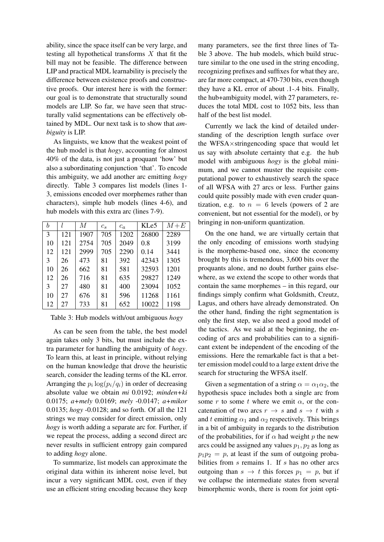ability, since the space itself can be very large, and testing all hypothetical transforms  $X$  that fit the bill may not be feasible. The difference between LIP and practical MDL learnability is precisely the difference between existence proofs and constructive proofs. Our interest here is with the former: our goal is to demonstrate that structurally sound models are LIP. So far, we have seen that structurally valid segmentations can be effectively obtained by MDL. Our next task is to show that *ambiguity* is LIP.

As linguists, we know that the weakest point of the hub model is that *hogy*, accounting for almost 40% of the data, is not just a proquant 'how' but also a subordinating conjunction 'that'. To encode this ambiguity, we add another arc emitting *hogy* directly. Table 3 compares list models (lines 1- 3, emissions encoded over morphemes rather than characters), simple hub models (lines 4-6), and hub models with this extra arc (lines 7-9).

| b  |     | М    | $c_s$ | $c_a$ | KLe5  | $M+E$ |
|----|-----|------|-------|-------|-------|-------|
| 3  | 121 | 1907 | 705   | 1202  | 26800 | 2289  |
| 10 | 121 | 2754 | 705   | 2049  | 0.8   | 3199  |
| 12 | 121 | 2999 | 705   | 2290  | 0.14  | 3441  |
| 3  | 26  | 473  | 81    | 392   | 42343 | 1305  |
| 10 | 26  | 662  | 81    | 581   | 32593 | 1201  |
| 12 | 26  | 716  | 81    | 635   | 29827 | 1249  |
| 3  | 27  | 480  | 81    | 400   | 23094 | 1052  |
| 10 | 27  | 676  | 81    | 596   | 11268 | 1161  |
| 12 | 27  | 733  | 81    | 652   | 10022 | 1198  |

Table 3: Hub models with/out ambiguous *hogy*

As can be seen from the table, the best model again takes only 3 bits, but must include the extra parameter for handling the ambiguity of *hogy*. To learn this, at least in principle, without relying on the human knowledge that drove the heuristic search, consider the leading terms of the KL error. Arranging the  $p_i \log(p_i/q_i)$  in order of decreasing absolute value we obtain *mi* 0.0192; *minden+ki* 0.0175; *a+mely* 0.0169; *mely* -0.0147; *a+mikor* 0.0135; *hogy* -0.0128; and so forth. Of all the 121 strings we may consider for direct emission, only *hogy* is worth adding a separate arc for. Further, if we repeat the process, adding a second direct arc never results in sufficient entropy gain compared to adding *hogy* alone.

To summarize, list models can approximate the original data within its inherent noise level, but incur a very significant MDL cost, even if they use an efficient string encoding because they keep

many parameters, see the first three lines of Table 3 above. The hub models, which build structure similar to the one used in the string encoding, recognizing prefixes and suffixes for what they are, are far more compact, at 470-730 bits, even though they have a KL error of about .1-.4 bits. Finally, the hub+ambiguity model, with 27 parameters, reduces the total MDL cost to 1052 bits, less than half of the best list model.

Currently we lack the kind of detailed understanding of the description length surface over the WFSA×stringencoding space that would let us say with absolute certainty that e.g. the hub model with ambiguous *hogy* is the global minimum, and we cannot muster the requisite computational power to exhaustively search the space of all WFSA with 27 arcs or less. Further gains could quite possibly made with even cruder quantization, e.g. to  $n = 6$  levels (powers of 2 are convenient, but not essential for the model), or by bringing in non-uniform quantization.

On the one hand, we are virtually certain that the only encoding of emissions worth studying is the morpheme-based one, since the economy brought by this is tremendous, 3,600 bits over the proquants alone, and no doubt further gains elsewhere, as we extend the scope to other words that contain the same morphemes – in this regard, our findings simply confirm what Goldsmith, Creutz, Lagus, and others have already demonstrated. On the other hand, finding the right segmentation is only the first step, we also need a good model of the tactics. As we said at the beginning, the encoding of arcs and probabilities can to a significant extent be independent of the encoding of the emissions. Here the remarkable fact is that a better emission model could to a large extent drive the search for structuring the WFSA itself.

Given a segmentation of a string  $\alpha = \alpha_1 \alpha_2$ , the hypothesis space includes both a single arc from some r to some t where we emit  $\alpha$ , or the concatenation of two arcs  $r \rightarrow s$  and  $s \rightarrow t$  with s and t emitting  $\alpha_1$  and  $\alpha_2$  respectively. This brings in a bit of ambiguity in regards to the distribution of the probabilities, for if  $\alpha$  had weight p the new arcs could be assigned any values  $p_1, p_2$  as long as  $p_1p_2 = p$ , at least if the sum of outgoing probabilities from  $s$  remains 1. If  $s$  has no other arcs outgoing than  $s \to t$  this forces  $p_1 = p$ , but if we collapse the intermediate states from several bimorphemic words, there is room for joint opti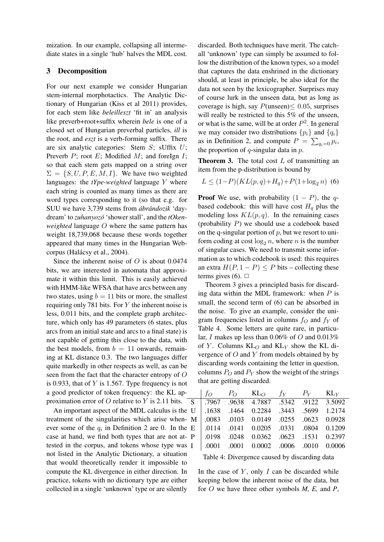mization. In our example, collapsing all intermediate states in a single 'hub' halves the MDL cost.

## 3 Decomposition

For our next example we consider Hungarian stem-internal morphotactics. The Analytic Dictionary of Hungarian (Kiss et al 2011) provides, for each stem like *beleilleszt* 'fit in' an analysis like preverb+root+suffix wherein *bele* is one of a closed set of Hungarian preverbal particles, *ill* is the root, and *eszt* is a verb-forming suffix. There are six analytic categories: Stem  $S$ ; sUffix  $U$ ; Preverb  $P$ ; root  $E$ ; Modified  $M$ ; and foreIgn  $I$ ; so that each stem gets mapped on a string over  $\Sigma = \{S, U, P, E, M, I\}$ . We have two weighted languages: the *tYpe-weighted* language Y where each string is counted as many times as there are word types corresponding to it (so that e.g. for SUU we have 3,739 stems from *ábrándozik* 'daydream' to *zuhanyozo´* 'shower stall', and the *tOkenweighted* language O where the same pattern has weight 18,739,068 because these words together appeared that many times in the Hungarian Webcorpus (Halácsy et al., 2004).

Since the inherent noise of  $O$  is about 0.0474 bits, we are interested in automata that approximate it within this limit. This is easily achieved with HMM-like WFSA that have arcs between any two states, using  $b = 11$  bits or more, the smallest requiring only 781 bits. For  $Y$  the inherent noise is less, 0.011 bits, and the complete graph architecture, which only has 49 parameters (6 states, plus arcs from an initial state and arcs to a final state) is not capable of getting this close to the data, with the best models, from  $b = 11$  onwards, remaining at KL distance 0.3. The two languages differ quite markedly in other respects as well, as can be seen from the fact that the character entropy of O is 0.933, that of  $Y$  is 1.567. Type frequency is not a good predictor of token frequency: the KL approximation error of O relative to Y is 2.11 bits.  $\overline{S}$ 

An important aspect of the MDL calculus is the treatment of the singularities which arise when- $N$ ever some of the  $q_i$  in Definition 2 are 0. In the case at hand, we find both types that are not attested in the corpus, and tokens whose type was not listed in the Analytic Dictionary, a situation that would theoretically render it impossible to compute the KL divergence in either direction. In practice, tokens with no dictionary type are either collected in a single 'unknown' type or are silently

discarded. Both techniques have merit. The catchall 'unknown' type can simply be assumed to follow the distribution of the known types, so a model that captures the data enshrined in the dictionary should, at least in principle, be also ideal for the data not seen by the lexicographer. Surprises may of course lurk in the unseen data, but as long as coverage is high, say  $P(\text{unseen}) \leq 0.05$ , surprises will really be restricted to this 5% of the unseen, or what is the same, will be at order  $P^2$ . In general we may consider two distributions  $\{p_i\}$  and  $\{q_i\}$ as in Definition 2, and compute  $P = \sum_{q_i=0} p_i$ , the proportion of  $q$ -singular data in  $p$ .

**Theorem 3.** The total cost  $L$  of transmitting an item from the p-distribution is bound by

$$
L \le (1 - P)(KL(p, q) + H_q) + P(1 + \log_2 n)
$$
 (6)

**Proof** We use, with probability  $(1 - P)$ , the qbased codebook: this will have cost  $H_q$  plus the modeling loss  $KL(p, q)$ . In the remaining cases (probability P) we should use a codebook based on the q-singular portion of  $p$ , but we resort to uniform coding at cost  $\log_2 n$ , where n is the number of singular cases. We need to transmit some information as to which codebook is used: this requires an extra  $H(P, 1 - P) \leq P$  bits – collecting these terms gives (6).  $\Box$ 

Theorem 3 gives a principled basis for discarding data within the MDL framework: when  $P$  is small, the second term of (6) can be absorbed in the noise. To give an example, consider the unigram frequencies listed in columns  $f<sub>O</sub>$  and  $f<sub>Y</sub>$  of Table 4. Some letters are quite rare, in particular, I makes up less than  $0.06\%$  of O and  $0.013\%$ of Y. Columns  $KL_O$  and  $KL_V$  show the KL divergence of  $O$  and  $Y$  from models obtained by by discarding words containing the letter in question, columns  $P_O$  and  $P_Y$  show the weight of the strings that are getting discarded.

|  | $f_O$ $P_O$ $KL_O$ $f_Y$ $P_Y$ $KL_Y$                                        |  |  |
|--|------------------------------------------------------------------------------|--|--|
|  | S 7967 .9638 4.7887 .5342 .9122 3.5092                                       |  |  |
|  | U   .1638 .1464 0.2284 .3443 .5699 1.2174                                    |  |  |
|  | M   .0083 .0103 0.0149 .0255 .0623 0.0928                                    |  |  |
|  | E 0114 .0141 0.0205 .0331 .0804 0.1209                                       |  |  |
|  | P   .0198 .0248 0.0362 .0623 .1531 0.2397                                    |  |  |
|  | $I \mid .0001 \quad .0001 \quad 0.0002 \quad .0006 \quad .0010 \quad 0.0006$ |  |  |

Table 4: Divergence caused by discarding data

In the case of  $Y$ , only  $I$  can be discarded while keeping below the inherent noise of the data, but for O we have three other symbols *M, E,* and *P*,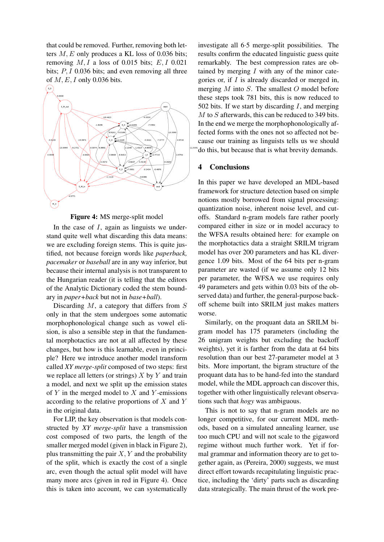that could be removed. Further, removing both letters  $M$ ,  $E$  only produces a KL loss of 0.036 bits; removing  $M, I$  a loss of 0.015 bits;  $E, I$  0.021 bits;  $P, I$  0.036 bits; and even removing all three of  $M, E, I$  only 0.036 bits.



Figure 4: MS merge-split model

In the case of  $I$ , again as linguists we understand quite well what discarding this data means: we are excluding foreign stems. This is quite justified, not because foreign words like *paperback, pacemaker* or *baseball* are in any way inferior, but because their internal analysis is not transparent to the Hungarian reader (it is telling that the editors of the Analytic Dictionary coded the stem boundary in *paper+back* but not in *base+ball*).

Discarding  $M$ , a category that differs from  $S$ only in that the stem undergoes some automatic morphophonological change such as vowel elision, is also a sensible step in that the fundamental morphotactics are not at all affected by these changes, but how is this learnable, even in principle? Here we introduce another model transform called *XY merge-split* composed of two steps: first we replace all letters (or strings)  $X$  by  $Y$  and train a model, and next we split up the emission states of  $Y$  in the merged model to  $X$  and  $Y$ -emissions according to the relative proportions of  $X$  and  $Y$ in the original data.

For LIP, the key observation is that models constructed by *XY merge-split* have a transmission cost composed of two parts, the length of the smaller merged model (given in black in Figure 2), plus transmitting the pair  $X, Y$  and the probability of the split, which is exactly the cost of a single arc, even though the actual split model will have many more arcs (given in red in Figure 4). Once this is taken into account, we can systematically

investigate all 6·5 merge-split possibilities. The results confirm the educated linguistic guess quite remarkably. The best compression rates are obtained by merging  $I$  with any of the minor categories or, if  $I$  is already discarded or merged in, merging  $M$  into  $S$ . The smallest  $O$  model before these steps took 781 bits, this is now reduced to 502 bits. If we start by discarding  $I$ , and merging M to S afterwards, this can be reduced to 349 bits. In the end we merge the morphophonologically affected forms with the ones not so affected not because our training as linguists tells us we should do this, but because that is what brevity demands.

#### 4 Conclusions

In this paper we have developed an MDL-based framework for structure detection based on simple notions mostly borrowed from signal processing: quantization noise, inherent noise level, and cutoffs. Standard n-gram models fare rather poorly compared either in size or in model accuracy to the WFSA results obtained here: for example on the morphotactics data a straight SRILM trigram model has over 200 parameters and has KL divergence 1.09 bits. Most of the 64 bits per n-gram parameter are wasted (if we assume only 12 bits per parameter, the WFSA we use requires only 49 parameters and gets within 0.03 bits of the observed data) and further, the general-purpose backoff scheme built into SRILM just makes matters worse.

Similarly, on the proquant data an SRILM bigram model has 175 parameters (including the 26 unigram weights but excluding the backoff weights), yet it is farther from the data at 64 bits resolution than our best 27-parameter model at 3 bits. More important, the bigram structure of the proquant data has to be hand-fed into the standard model, while the MDL approach can discover this, together with other linguistically relevant observations such that *hogy* was ambiguous.

This is not to say that n-gram models are no longer competitive, for our current MDL methods, based on a simulated annealing learner, use too much CPU and will not scale to the gigaword regime without much further work. Yet if formal grammar and information theory are to get together again, as (Pereira, 2000) suggests, we must direct effort towards recapitulating linguistic practice, including the 'dirty' parts such as discarding data strategically. The main thrust of the work pre-